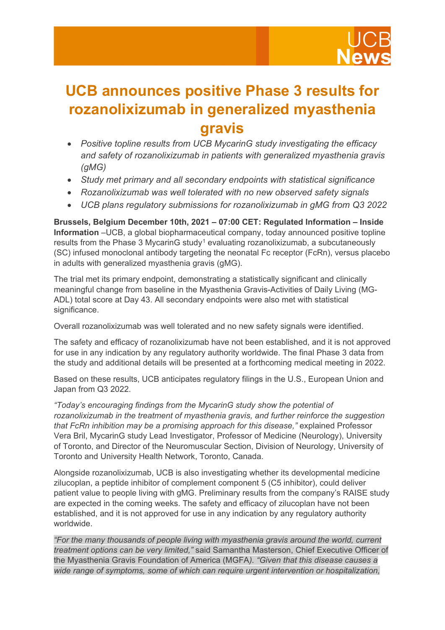

# **UCB announces positive Phase 3 results for rozanolixizumab in generalized myasthenia gravis**

- *Positive topline results from UCB MycarinG study investigating the efficacy and safety of rozanolixizumab in patients with generalized myasthenia gravis (gMG)*
- *Study met primary and all secondary endpoints with statistical significance*
- *Rozanolixizumab was well tolerated with no new observed safety signals*
- *UCB plans regulatory submissions for rozanolixizumab in gMG from Q3 2022*

**Brussels, Belgium December 10th, 2021 – 07:00 CET: Regulated Information – Inside Information** –UCB, a global biopharmaceutical company, today announced positive topline results from the Phase 3 MycarinG study<sup>[1](#page-5-0)</sup> evaluating rozanolixizumab, a subcutaneously (SC) infused monoclonal antibody targeting the neonatal Fc receptor (FcRn), versus placebo in adults with generalized myasthenia gravis (gMG).

The trial met its primary endpoint, demonstrating a statistically significant and clinically meaningful change from baseline in the Myasthenia Gravis-Activities of Daily Living (MG-ADL) total score at Day 43. All secondary endpoints were also met with statistical significance.

Overall rozanolixizumab was well tolerated and no new safety signals were identified.

The safety and efficacy of rozanolixizumab have not been established, and it is not approved for use in any indication by any regulatory authority worldwide. The final Phase 3 data from the study and additional details will be presented at a forthcoming medical meeting in 2022.

Based on these results, UCB anticipates regulatory filings in the U.S., European Union and Japan from Q3 2022.

*"Today's encouraging findings from the MycarinG study show the potential of rozanolixizumab in the treatment of myasthenia gravis, and further reinforce the suggestion that FcRn inhibition may be a promising approach for this disease,"* explained Professor Vera Bril, MycarinG study Lead Investigator, Professor of Medicine (Neurology), University of Toronto, and Director of the Neuromuscular Section, Division of Neurology, University of Toronto and University Health Network, Toronto, Canada.

Alongside rozanolixizumab, UCB is also investigating whether its developmental medicine zilucoplan, a peptide inhibitor of complement component 5 (C5 inhibitor), could deliver patient value to people living with gMG. Preliminary results from the company's RAISE study are expected in the coming weeks. The safety and efficacy of zilucoplan have not been established, and it is not approved for use in any indication by any regulatory authority worldwide.

*"For the many thousands of people living with myasthenia gravis around the world, current treatment options can be very limited,"* said Samantha Masterson, Chief Executive Officer of the Myasthenia Gravis Foundation of America (MGFA*). "Given that this disease causes a wide range of symptoms, some of which can require urgent intervention or hospitalization,*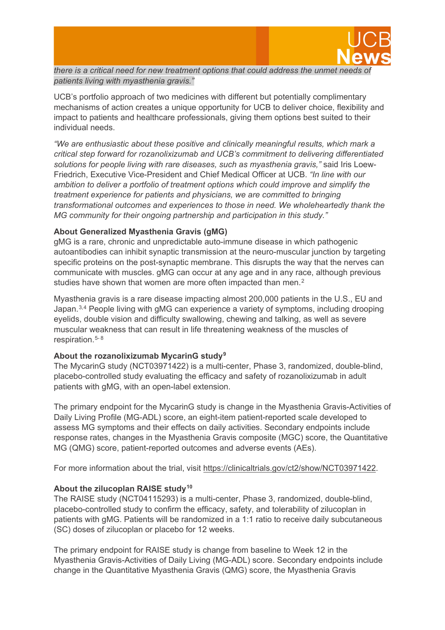

there is a critical need for new treatment options that could address the unmet needs of *patients living with myasthenia gravis."*

UCB's portfolio approach of two medicines with different but potentially complimentary mechanisms of action creates a unique opportunity for UCB to deliver choice, flexibility and impact to patients and healthcare professionals, giving them options best suited to their individual needs.

*"We are enthusiastic about these positive and clinically meaningful results, which mark a critical step forward for rozanolixizumab and UCB's commitment to delivering differentiated solutions for people living with rare diseases, such as myasthenia gravis,"* said Iris Loew-Friedrich, Executive Vice-President and Chief Medical Officer at UCB. *"In line with our ambition to deliver a portfolio of treatment options which could improve and simplify the treatment experience for patients and physicians, we are committed to bringing transformational outcomes and experiences to those in need. We wholeheartedly thank the MG community for their ongoing partnership and participation in this study."*

### **About Generalized Myasthenia Gravis (gMG)**

gMG is a rare, chronic and unpredictable auto-immune disease in which pathogenic autoantibodies can inhibit synaptic transmission at the neuro-muscular junction by targeting specific proteins on the post-synaptic membrane. This disrupts the way that the nerves can communicate with muscles. gMG can occur at any age and in any race, although previous studies have shown that women are more often impacted than men.<sup>[2](#page-5-1)</sup>

Myasthenia gravis is a rare disease impacting almost 200,000 patients in the U.S., EU and Japan.[3](#page-5-2),[4](#page-5-3) People living with gMG can experience a variety of symptoms, including drooping eyelids, double vision and difficulty swallowing, chewing and talking, as well as severe muscular weakness that can result in life threatening weakness of the muscles of respiration.<sup>[5-](#page-5-4)[8](#page-5-5)</sup>

### **About the rozanolixizumab MycarinG study[9](#page-5-6)**

The MycarinG study (NCT03971422) is a multi-center, Phase 3, randomized, double-blind, placebo-controlled study evaluating the efficacy and safety of rozanolixizumab in adult patients with gMG, with an open-label extension.

The primary endpoint for the MycarinG study is change in the Myasthenia Gravis-Activities of Daily Living Profile (MG-ADL) score, an eight-item patient-reported scale developed to assess MG symptoms and their effects on daily activities. Secondary endpoints include response rates, changes in the Myasthenia Gravis composite (MGC) score, the Quantitative MG (QMG) score, patient-reported outcomes and adverse events (AEs).

For more information about the trial, visit [https://clinicaltrials.gov/ct2/show/NCT03971422.](https://clinicaltrials.gov/ct2/show/NCT03971422)

### **About the zilucoplan RAISE study[10](#page-5-7)**

The RAISE study (NCT04115293) is a multi-center, Phase 3, randomized, double-blind, placebo-controlled study to confirm the efficacy, safety, and tolerability of zilucoplan in patients with gMG. Patients will be randomized in a 1:1 ratio to receive daily subcutaneous (SC) doses of zilucoplan or placebo for 12 weeks.

The primary endpoint for RAISE study is change from baseline to Week 12 in the Myasthenia Gravis-Activities of Daily Living (MG-ADL) score. Secondary endpoints include change in the Quantitative Myasthenia Gravis (QMG) score, the Myasthenia Gravis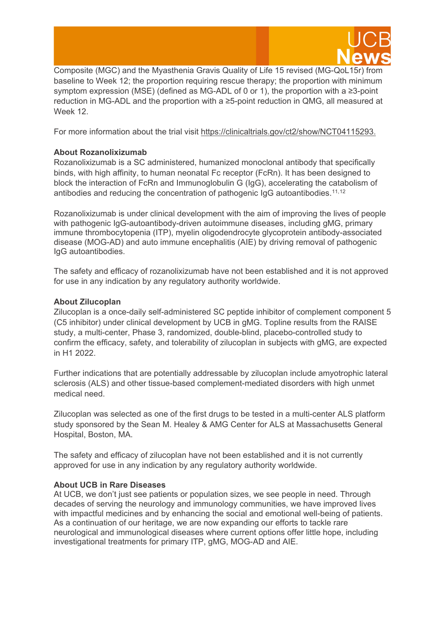

Composite (MGC) and the Myasthenia Gravis Quality of Life 15 revised (MG-QoL15r) from baseline to Week 12; the proportion requiring rescue therapy; the proportion with minimum symptom expression (MSE) (defined as MG-ADL of 0 or 1), the proportion with a ≥3-point reduction in MG-ADL and the proportion with a ≥5-point reduction in QMG, all measured at Week 12.

For more information about the trial visit [https://clinicaltrials.gov/ct2/show/NCT04115293.](https://clinicaltrials.gov/ct2/show/NCT04115293)

## **About Rozanolixizumab**

Rozanolixizumab is a SC administered, humanized monoclonal antibody that specifically binds, with high affinity, to human neonatal Fc receptor (FcRn). It has been designed to block the interaction of FcRn and Immunoglobulin G (IgG), accelerating the catabolism of antibodies and reducing the concentration of pathogenic IgG autoantibodies. [11](#page-5-8),[12](#page-5-9)

Rozanolixizumab is under clinical development with the aim of improving the lives of people with pathogenic IgG-autoantibody-driven autoimmune diseases, including gMG, primary immune thrombocytopenia (ITP), myelin oligodendrocyte glycoprotein antibody-associated disease (MOG-AD) and auto immune encephalitis (AIE) by driving removal of pathogenic IgG autoantibodies.

The safety and efficacy of rozanolixizumab have not been established and it is not approved for use in any indication by any regulatory authority worldwide.

#### **About Zilucoplan**

Zilucoplan is a once-daily self-administered SC peptide inhibitor of complement component 5 (C5 inhibitor) under clinical development by UCB in gMG. Topline results from the RAISE study, a multi-center, Phase 3, randomized, double-blind, placebo-controlled study to confirm the efficacy, safety, and tolerability of zilucoplan in subjects with gMG, are expected in H1 2022.

Further indications that are potentially addressable by zilucoplan include amyotrophic lateral sclerosis (ALS) and other tissue-based complement-mediated disorders with high unmet medical need.

Zilucoplan was selected as one of the first drugs to be tested in a multi-center ALS platform study sponsored by the Sean M. Healey & AMG Center for ALS at Massachusetts General Hospital, Boston, MA.

The safety and efficacy of zilucoplan have not been established and it is not currently approved for use in any indication by any regulatory authority worldwide.

### **About UCB in Rare Diseases**

At UCB, we don't just see patients or population sizes, we see people in need. Through decades of serving the neurology and immunology communities, we have improved lives with impactful medicines and by enhancing the social and emotional well-being of patients. As a continuation of our heritage, we are now expanding our efforts to tackle rare neurological and immunological diseases where current options offer little hope, including investigational treatments for primary ITP, gMG, MOG-AD and AIE.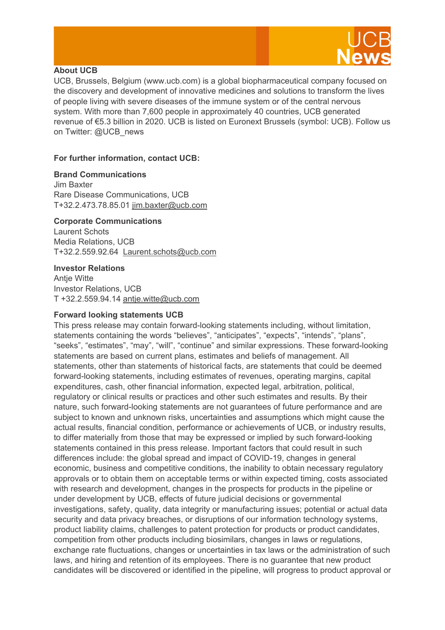

### **About UCB**

UCB, Brussels, Belgium (www.ucb.com) is a global biopharmaceutical company focused on the discovery and development of innovative medicines and solutions to transform the lives of people living with severe diseases of the immune system or of the central nervous system. With more than 7,600 people in approximately 40 countries, UCB generated revenue of €5.3 billion in 2020. UCB is listed on Euronext Brussels (symbol: UCB). Follow us on Twitter: @UCB\_news

## **For further information, contact UCB:**

### **Brand Communications**

Jim Baxter Rare Disease Communications, UCB T+32.2.473.78.85.01 [jim.baxter@ucb.com](mailto:jim.baxter@ucb.com)

## **Corporate Communications**

Laurent Schots Media Relations, UCB T+32.2.559.92.64 [Laurent.schots@ucb.com](mailto:Laurent.schots@ucb.com)

### **Investor Relations**

**Antie Witte** Investor Relations, UCB T +32.2.559.94.14 [antje.witte@ucb.com](mailto:antje.witte@ucb.com)

### **Forward looking statements UCB**

This press release may contain forward-looking statements including, without limitation, statements containing the words "believes", "anticipates", "expects", "intends", "plans", "seeks", "estimates", "may", "will", "continue" and similar expressions. These forward-looking statements are based on current plans, estimates and beliefs of management. All statements, other than statements of historical facts, are statements that could be deemed forward-looking statements, including estimates of revenues, operating margins, capital expenditures, cash, other financial information, expected legal, arbitration, political, regulatory or clinical results or practices and other such estimates and results. By their nature, such forward-looking statements are not guarantees of future performance and are subject to known and unknown risks, uncertainties and assumptions which might cause the actual results, financial condition, performance or achievements of UCB, or industry results, to differ materially from those that may be expressed or implied by such forward-looking statements contained in this press release. Important factors that could result in such differences include: the global spread and impact of COVID-19, changes in general economic, business and competitive conditions, the inability to obtain necessary regulatory approvals or to obtain them on acceptable terms or within expected timing, costs associated with research and development, changes in the prospects for products in the pipeline or under development by UCB, effects of future judicial decisions or governmental investigations, safety, quality, data integrity or manufacturing issues; potential or actual data security and data privacy breaches, or disruptions of our information technology systems, product liability claims, challenges to patent protection for products or product candidates, competition from other products including biosimilars, changes in laws or regulations, exchange rate fluctuations, changes or uncertainties in tax laws or the administration of such laws, and hiring and retention of its employees. There is no guarantee that new product candidates will be discovered or identified in the pipeline, will progress to product approval or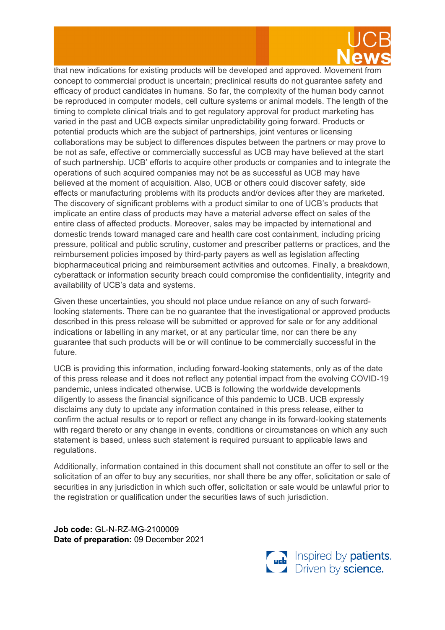

that new indications for existing products will be developed and approved. Movement from concept to commercial product is uncertain; preclinical results do not guarantee safety and efficacy of product candidates in humans. So far, the complexity of the human body cannot be reproduced in computer models, cell culture systems or animal models. The length of the timing to complete clinical trials and to get regulatory approval for product marketing has varied in the past and UCB expects similar unpredictability going forward. Products or potential products which are the subject of partnerships, joint ventures or licensing collaborations may be subject to differences disputes between the partners or may prove to be not as safe, effective or commercially successful as UCB may have believed at the start of such partnership. UCB' efforts to acquire other products or companies and to integrate the operations of such acquired companies may not be as successful as UCB may have believed at the moment of acquisition. Also, UCB or others could discover safety, side effects or manufacturing problems with its products and/or devices after they are marketed. The discovery of significant problems with a product similar to one of UCB's products that implicate an entire class of products may have a material adverse effect on sales of the entire class of affected products. Moreover, sales may be impacted by international and domestic trends toward managed care and health care cost containment, including pricing pressure, political and public scrutiny, customer and prescriber patterns or practices, and the reimbursement policies imposed by third-party payers as well as legislation affecting biopharmaceutical pricing and reimbursement activities and outcomes. Finally, a breakdown, cyberattack or information security breach could compromise the confidentiality, integrity and availability of UCB's data and systems.

Given these uncertainties, you should not place undue reliance on any of such forwardlooking statements. There can be no guarantee that the investigational or approved products described in this press release will be submitted or approved for sale or for any additional indications or labelling in any market, or at any particular time, nor can there be any guarantee that such products will be or will continue to be commercially successful in the future.

UCB is providing this information, including forward-looking statements, only as of the date of this press release and it does not reflect any potential impact from the evolving COVID-19 pandemic, unless indicated otherwise. UCB is following the worldwide developments diligently to assess the financial significance of this pandemic to UCB. UCB expressly disclaims any duty to update any information contained in this press release, either to confirm the actual results or to report or reflect any change in its forward-looking statements with regard thereto or any change in events, conditions or circumstances on which any such statement is based, unless such statement is required pursuant to applicable laws and regulations.

Additionally, information contained in this document shall not constitute an offer to sell or the solicitation of an offer to buy any securities, nor shall there be any offer, solicitation or sale of securities in any jurisdiction in which such offer, solicitation or sale would be unlawful prior to the registration or qualification under the securities laws of such jurisdiction.

**Job code:** GL-N-RZ-MG-2100009 **Date of preparation:** 09 December 2021